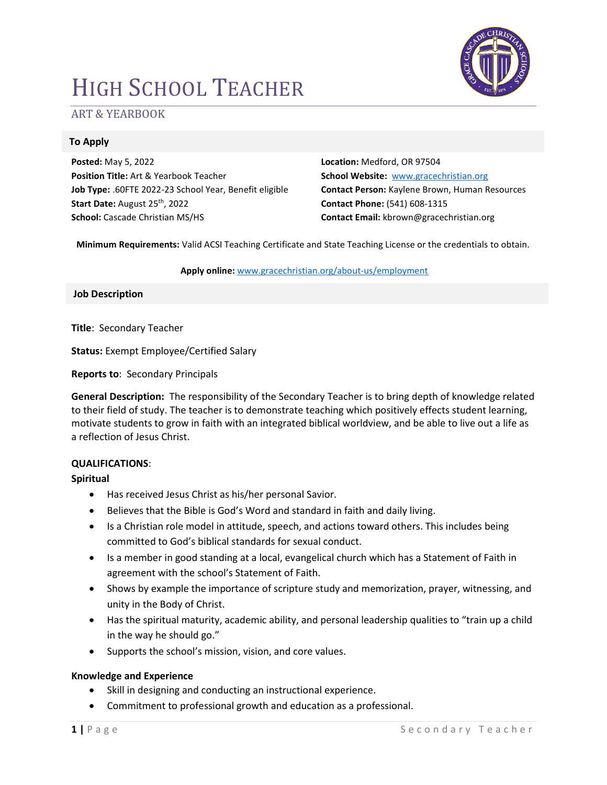# HIGH SCHOOL TEACHER



# ART & YEARBOOK

# To Apply

Posted: May 5, 2022 Position Title: Art & Yearbook Teacher Job Type: .60FTE 2022-23 School Year, Benefit eligible Start Date: August 25<sup>th</sup>, 2022 School: Cascade Christian MS/HS

Location: Medford, OR 97504 School Website: www.gracechristian.org Contact Person: Kaylene Brown, Human Resources Contact Phone: (541) 608-1315 Contact Email: kbrown@gracechristian.org

Minimum Requirements: Valid ACSI Teaching Certificate and State Teaching License or the credentials to obtain.

#### Apply online: www.gracechristian.org/about-us/employment

Job Description

Title: Secondary Teacher

Status: Exempt Employee/Certified Salary

Reports to: Secondary Principals

General Description: The responsibility of the Secondary Teacher is to bring depth of knowledge related to their field of study. The teacher is to demonstrate teaching which positively effects student learning, motivate students to grow in faith with an integrated biblical worldview, and be able to live out a life as a reflection of Jesus Christ.

#### QUALIFICATIONS:

#### Spiritual

- Has received Jesus Christ as his/her personal Savior.
- Believes that the Bible is God's Word and standard in faith and daily living.
- Is a Christian role model in attitude, speech, and actions toward others. This includes being committed to God's biblical standards for sexual conduct.
- Is a member in good standing at a local, evangelical church which has a Statement of Faith in agreement with the school's Statement of Faith.
- Shows by example the importance of scripture study and memorization, prayer, witnessing, and unity in the Body of Christ.
- Has the spiritual maturity, academic ability, and personal leadership qualities to "train up a child in the way he should go."
- Supports the school's mission, vision, and core values.

#### Knowledge and Experience

- Skill in designing and conducting an instructional experience.
- Commitment to professional growth and education as a professional.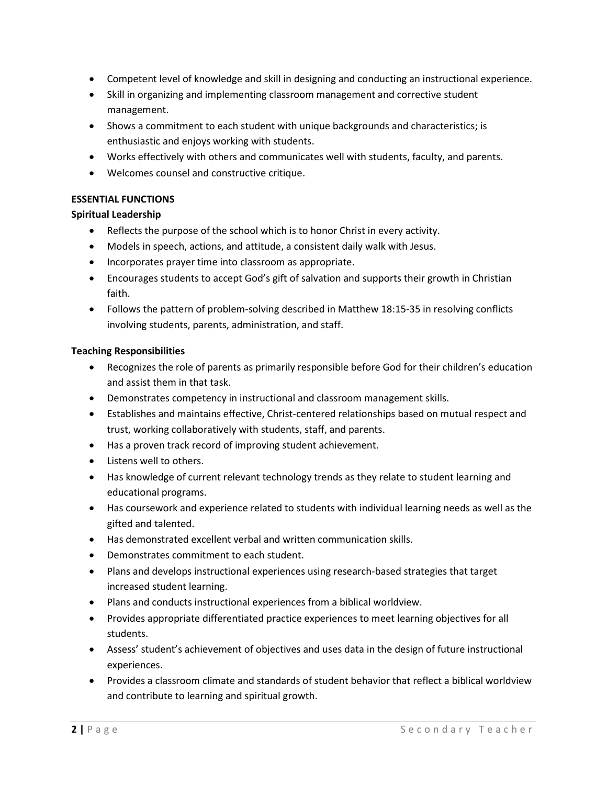- Competent level of knowledge and skill in designing and conducting an instructional experience.
- Skill in organizing and implementing classroom management and corrective student management.
- Shows a commitment to each student with unique backgrounds and characteristics; is enthusiastic and enjoys working with students.
- Works effectively with others and communicates well with students, faculty, and parents.
- Welcomes counsel and constructive critique.

# ESSENTIAL FUNCTIONS

## Spiritual Leadership

- Reflects the purpose of the school which is to honor Christ in every activity.
- Models in speech, actions, and attitude, a consistent daily walk with Jesus.
- Incorporates prayer time into classroom as appropriate.
- Encourages students to accept God's gift of salvation and supports their growth in Christian faith.
- Follows the pattern of problem-solving described in Matthew 18:15-35 in resolving conflicts involving students, parents, administration, and staff.

## Teaching Responsibilities

- Recognizes the role of parents as primarily responsible before God for their children's education and assist them in that task.
- Demonstrates competency in instructional and classroom management skills.
- Establishes and maintains effective, Christ-centered relationships based on mutual respect and trust, working collaboratively with students, staff, and parents.
- Has a proven track record of improving student achievement.
- **.** Listens well to others.
- Has knowledge of current relevant technology trends as they relate to student learning and educational programs.
- Has coursework and experience related to students with individual learning needs as well as the gifted and talented.
- Has demonstrated excellent verbal and written communication skills.
- Demonstrates commitment to each student.
- Plans and develops instructional experiences using research-based strategies that target increased student learning.
- Plans and conducts instructional experiences from a biblical worldview.
- Provides appropriate differentiated practice experiences to meet learning objectives for all students.
- Assess' student's achievement of objectives and uses data in the design of future instructional experiences.
- Provides a classroom climate and standards of student behavior that reflect a biblical worldview and contribute to learning and spiritual growth.